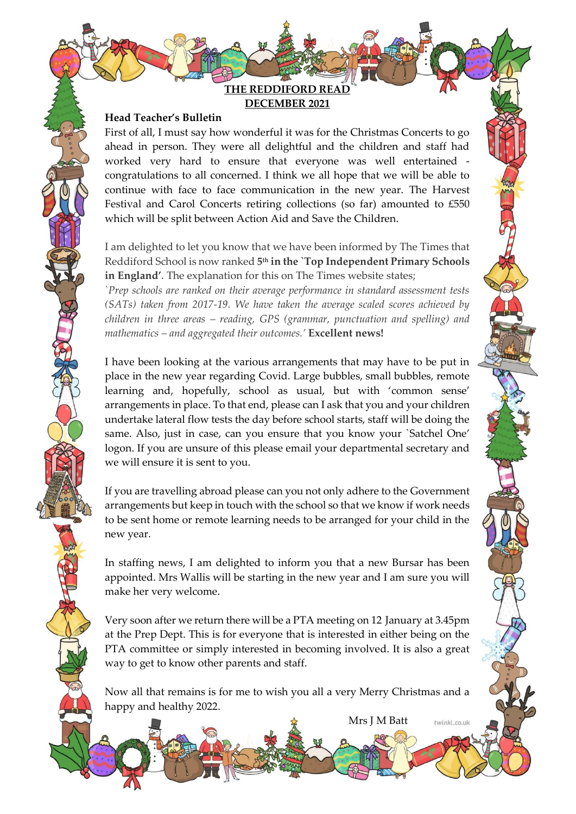**THE REDDIFORD READ DECEMBER 2021**

#### **Head Teacher's Bulletin**

First of all, I must say how wonderful it was for the Christmas Concerts to go ahead in person. They were all delightful and the children and staff had worked very hard to ensure that everyone was well entertained congratulations to all concerned. I think we all hope that we will be able to continue with face to face communication in the new year. The Harvest Festival and Carol Concerts retiring collections (so far) amounted to £550 which will be split between Action Aid and Save the Children.

I am delighted to let you know that we have been informed by The Times that Reddiford School is now ranked **5 th in the `Top Independent Primary Schools in England'**. The explanation for this on The Times website states;

`*Prep schools are ranked on their average performance in standard assessment tests (SATs) taken from 2017-19. We have taken the average scaled scores achieved by children in three areas – reading, GPS (grammar, punctuation and spelling) and mathematics – and aggregated their outcomes.'* **Excellent news!**

I have been looking at the various arrangements that may have to be put in place in the new year regarding Covid. Large bubbles, small bubbles, remote learning and, hopefully, school as usual, but with 'common sense' arrangements in place. To that end, please can I ask that you and your children undertake lateral flow tests the day before school starts, staff will be doing the same. Also, just in case, can you ensure that you know your `Satchel One' logon. If you are unsure of this please email your departmental secretary and we will ensure it is sent to you.

If you are travelling abroad please can you not only adhere to the Government arrangements but keep in touch with the school so that we know if work needs to be sent home or remote learning needs to be arranged for your child in the new year.

In staffing news, I am delighted to inform you that a new Bursar has been appointed. Mrs Wallis will be starting in the new year and I am sure you will make her very welcome.

Very soon after we return there will be a PTA meeting on 12 January at 3.45pm at the Prep Dept. This is for everyone that is interested in either being on the PTA committee or simply interested in becoming involved. It is also a great way to get to know other parents and staff.

Now all that remains is for me to wish you all a very Merry Christmas and a happy and healthy 2022.

Mrs J M Batt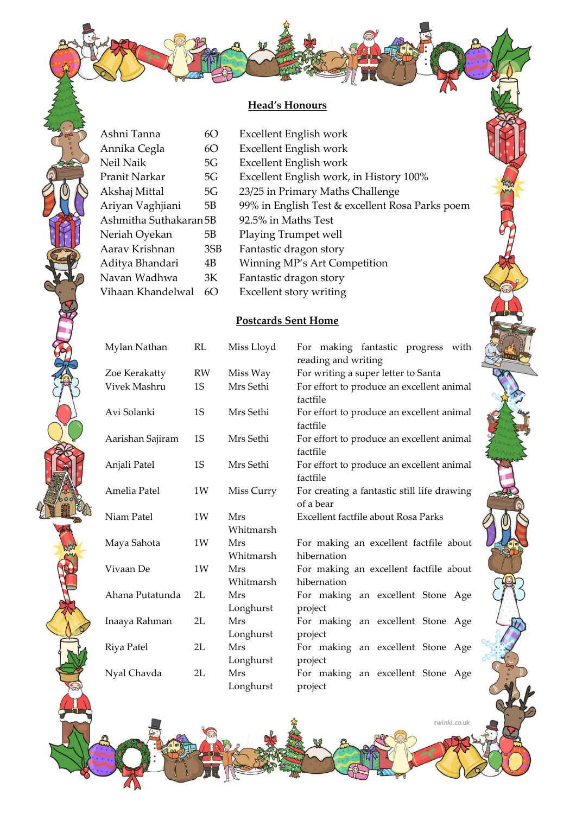# **Head's Honours**

| Ashni Tanna            | 6O  | Excellent English work                          |
|------------------------|-----|-------------------------------------------------|
| Annika Cegla           | 6O  | Excellent English work                          |
| Neil Naik              | 5G  | Excellent English work                          |
| Pranit Narkar          | 5G  | Excellent English work, in History 100%         |
| Akshaj Mittal          | 5G  | 23/25 in Primary Maths Challenge                |
| Ariyan Vaghjiani       | 5B  | 99% in English Test & excellent Rosa Parks poem |
| Ashmitha Suthakaran 5B |     | 92.5% in Maths Test                             |
| Neriah Oyekan          | 5B  | Playing Trumpet well                            |
| Aarav Krishnan         | 3SB | Fantastic dragon story                          |
| Aditya Bhandari        | 4B  | Winning MP's Art Competition                    |
| Navan Wadhwa           | 3K  | Fantastic dragon story                          |
| Vihaan Khandelwal      | 6O  | Excellent story writing                         |

## **Postcards Sent Home**

| Mylan Nathan     | RL        | Miss Lloyd              | For making fantastic progress with<br>reading and writing |
|------------------|-----------|-------------------------|-----------------------------------------------------------|
| Zoe Kerakatty    | <b>RW</b> | Miss Way                | For writing a super letter to Santa                       |
| Vivek Mashru     | 1S        | Mrs Sethi               | For effort to produce an excellent animal<br>factfile     |
| Avi Solanki      | 1S        | Mrs Sethi               | For effort to produce an excellent animal<br>factfile     |
| Aarishan Sajiram | 1S        | Mrs Sethi               | For effort to produce an excellent animal<br>factfile     |
| Anjali Patel     | 1S        | Mrs Sethi               | For effort to produce an excellent animal<br>factfile     |
| Amelia Patel     | 1W        | Miss Curry              | For creating a fantastic still life drawing<br>of a bear  |
| Niam Patel       | 1W        | Mrs<br>Whitmarsh        | Excellent factfile about Rosa Parks                       |
| Maya Sahota      | 1W        | <b>Mrs</b><br>Whitmarsh | For making an excellent factfile about<br>hibernation     |
| Vivaan De        | 1W        | <b>Mrs</b><br>Whitmarsh | For making an excellent factfile about<br>hibernation     |
| Ahana Putatunda  | 2L        | Mrs<br>Longhurst        | For making an excellent Stone Age<br>project              |
| Inaaya Rahman    | 2L        | Mrs<br>Longhurst        | For making an excellent Stone Age<br>project              |
| Riya Patel       | 2L        | Mrs<br>Longhurst        | For making an excellent Stone Age<br>project              |
| Nyal Chavda      | 2L        | <b>Mrs</b><br>Longhurst | For making an excellent Stone Age<br>project              |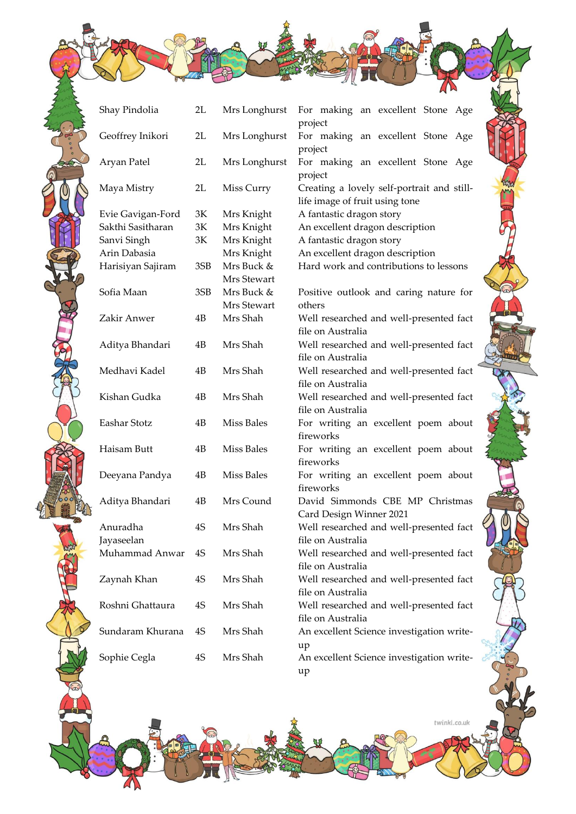| Shay Pindolia                          | 2L  | Mrs Longhurst | For making an excellent Stone Age                          |
|----------------------------------------|-----|---------------|------------------------------------------------------------|
|                                        |     |               | project                                                    |
| Geoffrey Inikori                       | 2L  | Mrs Longhurst | For making an excellent Stone Age                          |
|                                        |     |               | project                                                    |
| Aryan Patel                            | 2L  | Mrs Longhurst | For making an excellent Stone Age                          |
|                                        |     |               | project                                                    |
| Maya Mistry                            | 2L  | Miss Curry    | Creating a lovely self-portrait and still-                 |
|                                        |     |               | life image of fruit using tone<br>A fantastic dragon story |
| Evie Gavigan-Ford<br>Sakthi Sasitharan | 3K  | Mrs Knight    |                                                            |
|                                        | 3K  | Mrs Knight    | An excellent dragon description                            |
| Sanvi Singh                            | 3K  | Mrs Knight    | A fantastic dragon story                                   |
| Arin Dabasia                           |     | Mrs Knight    | An excellent dragon description                            |
| Harisiyan Sajiram                      | 3SB | Mrs Buck &    | Hard work and contributions to lessons                     |
|                                        |     | Mrs Stewart   |                                                            |
| Sofia Maan                             | 3SB | Mrs Buck &    | Positive outlook and caring nature for                     |
|                                        |     | Mrs Stewart   | others                                                     |
| Zakir Anwer                            | 4B  | Mrs Shah      | Well researched and well-presented fact                    |
|                                        |     |               | file on Australia                                          |
| Aditya Bhandari                        | 4B  | Mrs Shah      | Well researched and well-presented fact                    |
|                                        |     |               | file on Australia                                          |
| Medhavi Kadel                          | 4B  | Mrs Shah      | Well researched and well-presented fact                    |
|                                        |     |               | file on Australia                                          |
| Kishan Gudka                           | 4B  | Mrs Shah      | Well researched and well-presented fact                    |
|                                        |     |               | file on Australia                                          |
| Eashar Stotz                           | 4B  | Miss Bales    | For writing an excellent poem about                        |
|                                        |     |               | fireworks                                                  |
| Haisam Butt                            | 4B  | Miss Bales    | For writing an excellent poem about                        |
|                                        |     |               | fireworks                                                  |
| Deeyana Pandya                         | 4B  | Miss Bales    | For writing an excellent poem about                        |
|                                        |     |               | fireworks                                                  |
| Aditya Bhandari                        | 4B  | Mrs Cound     | David Simmonds CBE MP Christmas                            |
|                                        |     |               | Card Design Winner 2021                                    |
| Anuradha                               | 4S  | Mrs Shah      | Well researched and well-presented fact                    |
| Jayaseelan                             |     |               | file on Australia                                          |
| Muhammad Anwar                         | 4S  | Mrs Shah      | Well researched and well-presented fact                    |
|                                        |     |               | file on Australia                                          |
| Zaynah Khan                            | 4S  | Mrs Shah      | Well researched and well-presented fact                    |
|                                        |     |               | file on Australia                                          |
| Roshni Ghattaura                       | 4S  | Mrs Shah      | Well researched and well-presented fact                    |
|                                        |     |               | file on Australia                                          |
| Sundaram Khurana                       | 4S  | Mrs Shah      | An excellent Science investigation write-                  |
|                                        |     |               |                                                            |
| Sophie Cegla                           | 4S  | Mrs Shah      | up<br>An excellent Science investigation write-            |
|                                        |     |               |                                                            |
|                                        |     |               | up                                                         |

twinkl.co.uk

m.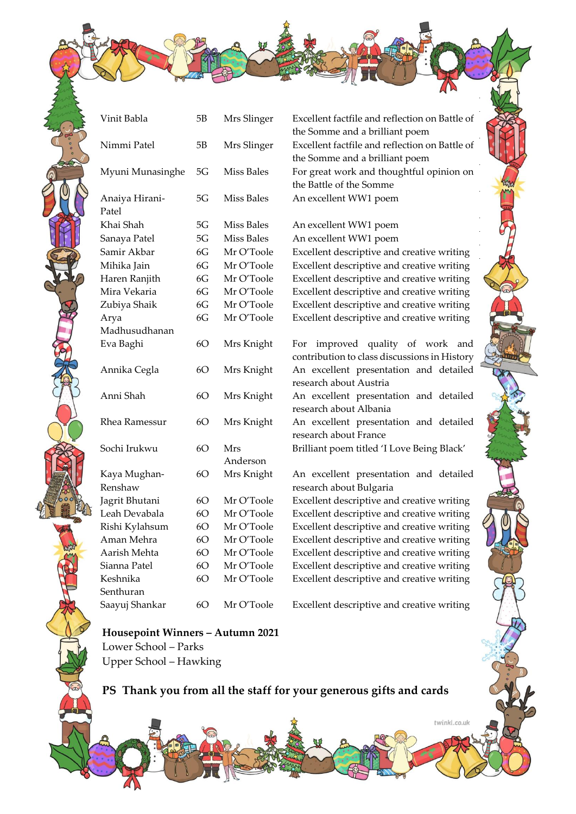| Vinit Babla             | 5В | Mrs Slinger     | Excellent factfile and reflection on Battle of<br>the Somme and a brilliant poem    |
|-------------------------|----|-----------------|-------------------------------------------------------------------------------------|
| Nimmi Patel             | 5B | Mrs Slinger     | Excellent factfile and reflection on Battle of<br>the Somme and a brilliant poem    |
| Myuni Munasinghe        | 5G | Miss Bales      | For great work and thoughtful opinion on<br>the Battle of the Somme                 |
| Anaiya Hirani-<br>Patel | 5G | Miss Bales      | An excellent WW1 poem                                                               |
| Khai Shah               | 5G | Miss Bales      | An excellent WW1 poem                                                               |
| Sanaya Patel            | 5G | Miss Bales      | An excellent WW1 poem                                                               |
| Samir Akbar             | 6G | Mr O'Toole      | Excellent descriptive and creative writing                                          |
| Mihika Jain             | 6G | Mr O'Toole      | Excellent descriptive and creative writing                                          |
| Haren Ranjith           | 6G | Mr O'Toole      | Excellent descriptive and creative writing                                          |
| Mira Vekaria            | 6G | Mr O'Toole      | Excellent descriptive and creative writing                                          |
| Zubiya Shaik            | 6G | Mr O'Toole      | Excellent descriptive and creative writing                                          |
| Arya                    | 6G | Mr O'Toole      | Excellent descriptive and creative writing                                          |
| Madhusudhanan           |    |                 |                                                                                     |
| Eva Baghi               | 60 | Mrs Knight      | improved quality of work and<br>For<br>contribution to class discussions in History |
| Annika Cegla            | 6O | Mrs Knight      | An excellent presentation and detailed<br>research about Austria                    |
| Anni Shah               | 6O | Mrs Knight      | An excellent presentation and detailed<br>research about Albania                    |
| Rhea Ramessur           | 6O | Mrs Knight      | An excellent presentation and detailed<br>research about France                     |
| Sochi Irukwu            | 6O | Mrs<br>Anderson | Brilliant poem titled 'I Love Being Black'                                          |
| Kaya Mughan-<br>Renshaw | 6O | Mrs Knight      | An excellent presentation and detailed<br>research about Bulgaria                   |
| Jagrit Bhutani          | 60 | Mr O'Toole      | Excellent descriptive and creative writing                                          |
| Leah Devabala           | 6O | Mr O'Toole      | Excellent descriptive and creative writing                                          |
| Rishi Kylahsum          | 6O | Mr O'Toole      | Excellent descriptive and creative writing                                          |
| Aman Mehra              | 6O | Mr O'Toole      | Excellent descriptive and creative writing                                          |
| Aarish Mehta            | 6O | Mr O'Toole      | Excellent descriptive and creative writing                                          |
| Sianna Patel            | 6O | Mr O'Toole      | Excellent descriptive and creative writing                                          |
| Keshnika                | 6O | Mr O'Toole      | Excellent descriptive and creative writing                                          |
| Senthuran               |    |                 |                                                                                     |
| Saayuj Shankar          | 60 | Mr O'Toole      | Excellent descriptive and creative writing                                          |
|                         |    |                 |                                                                                     |

#### **Housepoint Winners – Autumn 2021** Lower School – Parks Upper School – Hawking

**PS Thank you from all the staff for your generous gifts and cards**